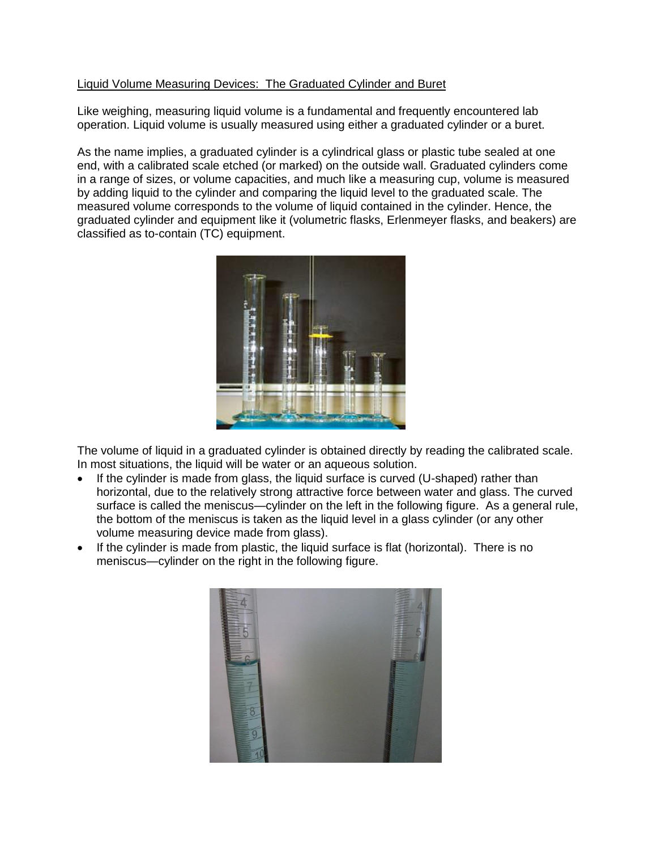## Liquid Volume Measuring Devices: The Graduated Cylinder and Buret

Like weighing, measuring liquid volume is a fundamental and frequently encountered lab operation. Liquid volume is usually measured using either a graduated cylinder or a buret.

As the name implies, a graduated cylinder is a cylindrical glass or plastic tube sealed at one end, with a calibrated scale etched (or marked) on the outside wall. Graduated cylinders come in a range of sizes, or volume capacities, and much like a measuring cup, volume is measured by adding liquid to the cylinder and comparing the liquid level to the graduated scale. The measured volume corresponds to the volume of liquid contained in the cylinder. Hence, the graduated cylinder and equipment like it (volumetric flasks, Erlenmeyer flasks, and beakers) are classified as to-contain (TC) equipment.



The volume of liquid in a graduated cylinder is obtained directly by reading the calibrated scale. In most situations, the liquid will be water or an aqueous solution.

- If the cylinder is made from glass, the liquid surface is curved (U-shaped) rather than horizontal, due to the relatively strong attractive force between water and glass. The curved surface is called the meniscus—cylinder on the left in the following figure. As a general rule, the bottom of the meniscus is taken as the liquid level in a glass cylinder (or any other volume measuring device made from glass).
- If the cylinder is made from plastic, the liquid surface is flat (horizontal). There is no meniscus—cylinder on the right in the following figure.